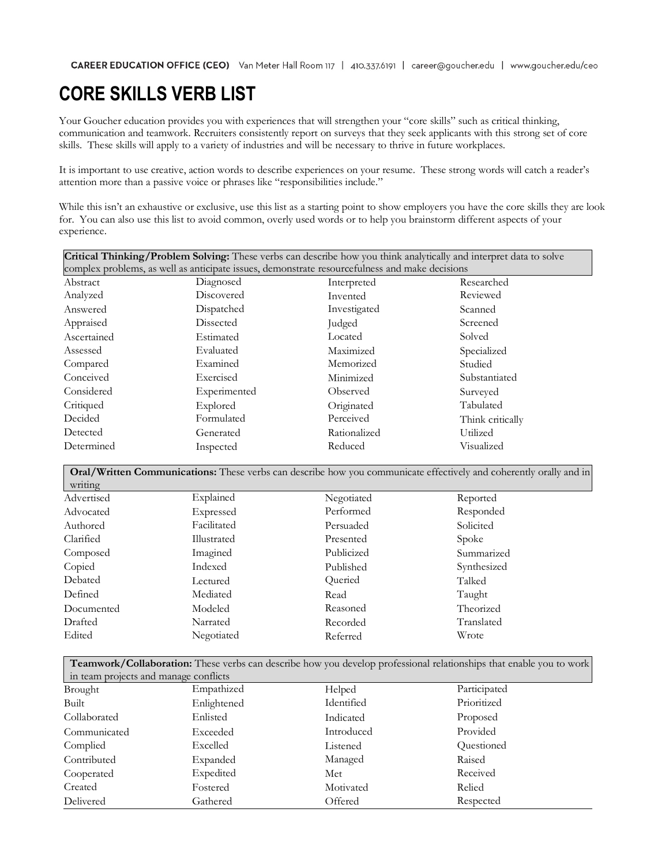## **CORE SKILLS VERB LIST**

Your Goucher education provides you with experiences that will strengthen your "core skills" such as critical thinking, communication and teamwork. Recruiters consistently report on surveys that they seek applicants with this strong set of core skills. These skills will apply to a variety of industries and will be necessary to thrive in future workplaces.

It is important to use creative, action words to describe experiences on your resume. These strong words will catch a reader's attention more than a passive voice or phrases like "responsibilities include."

While this isn't an exhaustive or exclusive, use this list as a starting point to show employers you have the core skills they are look for. You can also use this list to avoid common, overly used words or to help you brainstorm different aspects of your experience.

| Critical Thinking/Problem Solving: These verbs can describe how you think analytically and interpret data to solve |              |              |                  |  |  |
|--------------------------------------------------------------------------------------------------------------------|--------------|--------------|------------------|--|--|
| complex problems, as well as anticipate issues, demonstrate resourcefulness and make decisions                     |              |              |                  |  |  |
| Abstract                                                                                                           | Diagnosed    | Interpreted  | Researched       |  |  |
| Analyzed                                                                                                           | Discovered   | Invented     | Reviewed         |  |  |
| Answered                                                                                                           | Dispatched   | Investigated | Scanned          |  |  |
| Appraised                                                                                                          | Dissected    | Judged       | Screened         |  |  |
| Ascertained                                                                                                        | Estimated    | Located      | Solved           |  |  |
| Assessed                                                                                                           | Evaluated    | Maximized    | Specialized      |  |  |
| Compared                                                                                                           | Examined     | Memorized    | Studied          |  |  |
| Conceived                                                                                                          | Exercised    | Minimized    | Substantiated    |  |  |
| Considered                                                                                                         | Experimented | Observed     | Surveyed         |  |  |
| Critiqued                                                                                                          | Explored     | Originated   | Tabulated        |  |  |
| Decided                                                                                                            | Formulated   | Perceived    | Think critically |  |  |
| Detected                                                                                                           | Generated    | Rationalized | Utilized         |  |  |
| Determined                                                                                                         | Inspected    | Reduced      | Visualized       |  |  |
|                                                                                                                    |              |              |                  |  |  |

**Oral/Written Communications:** These verbs can describe how you communicate effectively and coherently orally and in

| writing    |             |            |             |  |
|------------|-------------|------------|-------------|--|
| Advertised | Explained   | Negotiated | Reported    |  |
| Advocated  | Expressed   | Performed  | Responded   |  |
| Authored   | Facilitated | Persuaded  | Solicited   |  |
| Clarified  | Illustrated | Presented  | Spoke       |  |
| Composed   | Imagined    | Publicized | Summarized  |  |
| Copied     | Indexed     | Published  | Synthesized |  |
| Debated    | Lectured    | Queried    | Talked      |  |
| Defined    | Mediated    | Read       | Taught      |  |
| Documented | Modeled     | Reasoned   | Theorized   |  |
| Drafted    | Narrated    | Recorded   | Translated  |  |
| Edited     | Negotiated  | Referred   | Wrote       |  |
|            |             |            |             |  |

**Teamwork/Collaboration:** These verbs can describe how you develop professional relationships that enable you to work in team projects and manage conflicts

| Brought      | Empathized  | Helped     | Participated |
|--------------|-------------|------------|--------------|
| Built        | Enlightened | Identified | Prioritized  |
| Collaborated | Enlisted    | Indicated  | Proposed     |
| Communicated | Exceeded    | Introduced | Provided     |
| Complied     | Excelled    | Listened   | Questioned   |
| Contributed  | Expanded    | Managed    | Raised       |
| Cooperated   | Expedited   | Met        | Received     |
| Created      | Fostered    | Motivated  | Relied       |
| Delivered    | Gathered    | Offered    | Respected    |